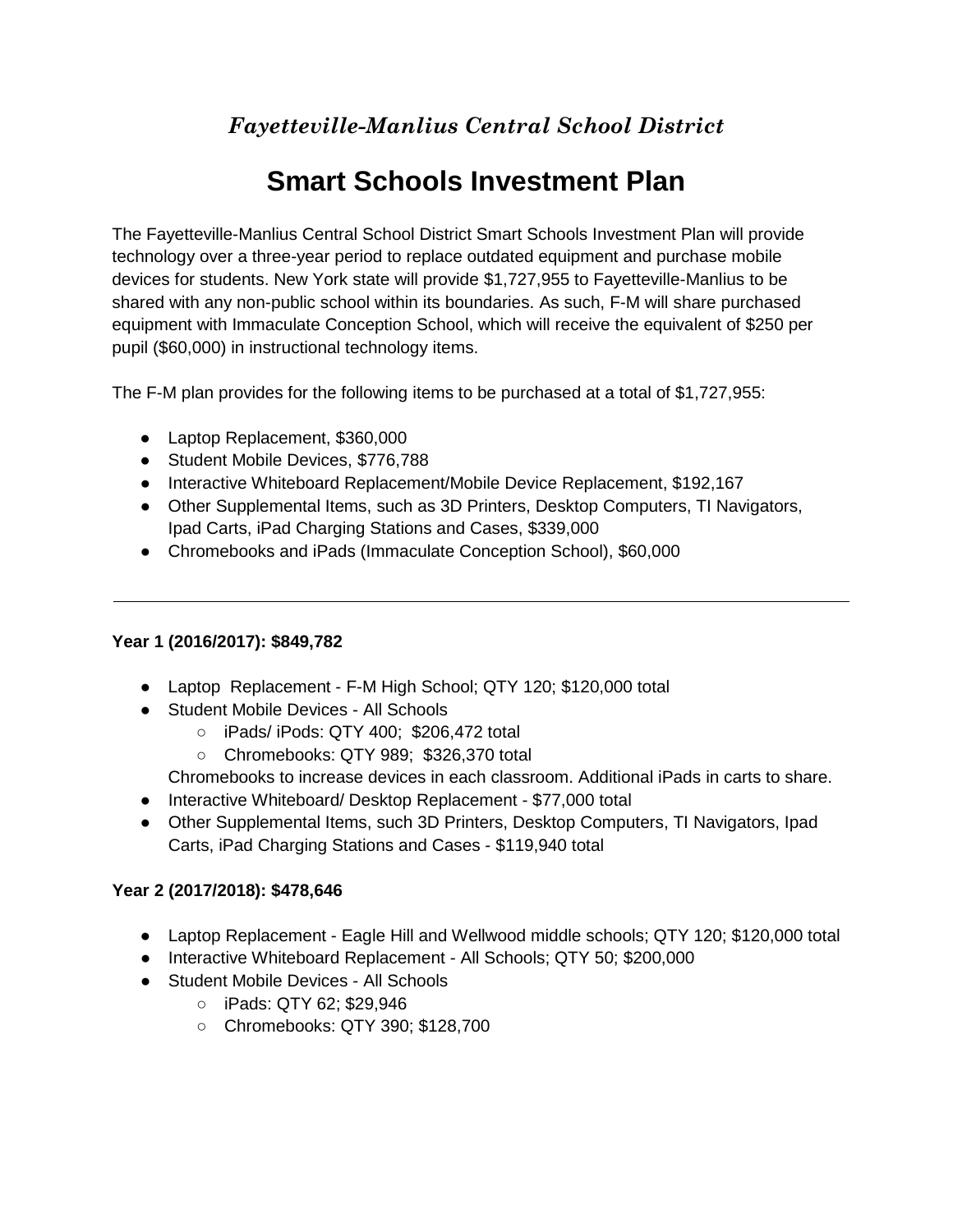## *Fayetteville-Manlius Central School District*

# **Smart Schools Investment Plan**

The Fayetteville-Manlius Central School District Smart Schools Investment Plan will provide technology over a three-year period to replace outdated equipment and purchase mobile devices for students. New York state will provide \$1,727,955 to Fayetteville-Manlius to be shared with any non-public school within its boundaries. As such, F-M will share purchased equipment with Immaculate Conception School, which will receive the equivalent of \$250 per pupil (\$60,000) in instructional technology items.

The F-M plan provides for the following items to be purchased at a total of \$1,727,955:

- Laptop Replacement, \$360,000
- Student Mobile Devices, \$776,788
- Interactive Whiteboard Replacement/Mobile Device Replacement, \$192,167
- Other Supplemental Items, such as 3D Printers, Desktop Computers, TI Navigators, Ipad Carts, iPad Charging Stations and Cases, \$339,000
- Chromebooks and iPads (Immaculate Conception School), \$60,000

### **Year 1 (2016/2017): \$849,782**

- Laptop Replacement F-M High School; QTY 120; \$120,000 total
- Student Mobile Devices All Schools
	- iPads/ iPods: QTY 400; \$206,472 total
	- Chromebooks: QTY 989; \$326,370 total

Chromebooks to increase devices in each classroom. Additional iPads in carts to share.

- Interactive Whiteboard/ Desktop Replacement \$77,000 total
- Other Supplemental Items, such 3D Printers, Desktop Computers, TI Navigators, Ipad Carts, iPad Charging Stations and Cases - \$119,940 total

### **Year 2 (2017/2018): \$478,646**

- Laptop Replacement Eagle Hill and Wellwood middle schools; QTY 120; \$120,000 total
- Interactive Whiteboard Replacement All Schools; QTY 50; \$200,000
- Student Mobile Devices All Schools
	- iPads: QTY 62; \$29,946
	- Chromebooks: QTY 390; \$128,700